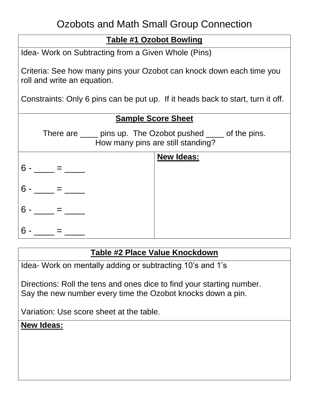## Ozobots and Math Small Group Connection

# **Table #1 Ozobot Bowling** Idea- Work on Subtracting from a Given Whole (Pins) Criteria: See how many pins your Ozobot can knock down each time you roll and write an equation. Constraints: Only 6 pins can be put up. If it heads back to start, turn it off. **Sample Score Sheet** There are \_\_\_\_ pins up. The Ozobot pushed \_\_\_\_ of the pins. How many pins are still standing?  $6 - =$  $6 - \_ = \_$  $6 - \underline{\hspace{1cm}} = \underline{\hspace{1cm}}$  $6 - \underline{\hspace{1cm}} = \underline{\hspace{1cm}}$ **New Ideas:**

#### **Table #2 Place Value Knockdown**

Idea- Work on mentally adding or subtracting 10's and 1's

Directions: Roll the tens and ones dice to find your starting number. Say the new number every time the Ozobot knocks down a pin.

Variation: Use score sheet at the table.

#### **New Ideas:**